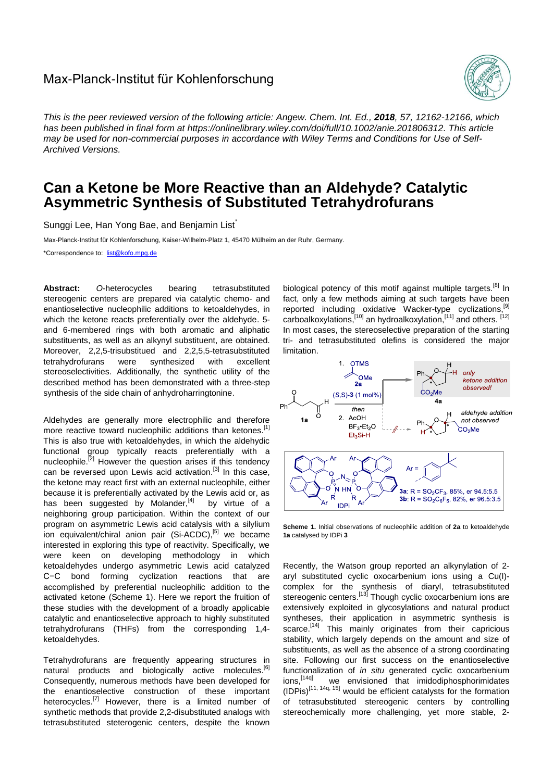## Max-Planck-Institut für Kohlenforschung



*This is the peer reviewed version of the following article: Angew. Chem. Int. Ed., 2018, 57, 12162-12166, which has been published in final form at [https://onlinelibrary.wiley.com/doi/full/10.1002/anie.201806312.](https://onlinelibrary.wiley.com/doi/full/10.1002/anie.201806312) This article may be used for non-commercial purposes in accordance with Wiley Terms and Conditions for Use of Self-Archived Versions.*

## **Can a Ketone be More Reactive than an Aldehyde? Catalytic Asymmetric Synthesis of Substituted Tetrahydrofurans**

Sunggi Lee, Han Yong Bae, and Benjamin List<sup>\*</sup>

Max-Planck-Institut für Kohlenforschung, Kaiser-Wilhelm-Platz 1, 45470 Mülheim an der Ruhr, Germany.

\*Correspondence to: [list@kofo.mpg.de](mailto:list@kofo.mpg.de)

**Abstract:** *O*-heterocycles bearing tetrasubstituted stereogenic centers are prepared via catalytic chemo- and enantioselective nucleophilic additions to ketoaldehydes, in which the ketone reacts preferentially over the aldehyde. 5 and 6-membered rings with both aromatic and aliphatic substituents, as well as an alkynyl substituent, are obtained. Moreover, 2,2,5-trisubstitued and 2,2,5,5-tetrasubstituted tetrahydrofurans were synthesized with excellent stereoselectivities. Additionally, the synthetic utility of the described method has been demonstrated with a three-step synthesis of the side chain of anhydroharringtonine.

Aldehydes are generally more electrophilic and therefore more reactive toward nucleophilic additions than ketones.<sup>[1]</sup> This is also true with ketoaldehydes, in which the aldehydic functional group typically reacts preferentially with a nucleophile.<sup>[2]</sup> However the question arises if this tendency can be reversed upon Lewis acid activation.<sup>[3]</sup> In this case, the ketone may react first with an external nucleophile, either because it is preferentially activated by the Lewis acid or, as has been suggested by Molander, $[4]$  by virtue of a neighboring group participation. Within the context of our program on asymmetric Lewis acid catalysis with a silylium ion equivalent/chiral anion pair (Si-ACDC),<sup>[5]</sup> we became interested in exploring this type of reactivity. Specifically, we were keen on developing methodology in which ketoaldehydes undergo asymmetric Lewis acid catalyzed C−C bond forming cyclization reactions that are accomplished by preferential nucleophilic addition to the activated ketone (Scheme 1). Here we report the fruition of these studies with the development of a broadly applicable catalytic and enantioselective approach to highly substituted tetrahydrofurans (THFs) from the corresponding 1,4 ketoaldehydes.

Tetrahydrofurans are frequently appearing structures in natural products and biologically active molecules.<sup>[6]</sup> Consequently, numerous methods have been developed for the enantioselective construction of these important heterocycles.<sup>[7]</sup> However, there is a limited number of synthetic methods that provide 2,2-disubstituted analogs with tetrasubstituted steterogenic centers, despite the known

biological potency of this motif against multiple targets.<sup>[8]</sup> In fact, only a few methods aiming at such targets have been reported including oxidative Wacker-type cyclizations,<sup>[9]</sup> carboalkoxylations, [10] an hydroalkoxylation, [11] and others. [12] In most cases, the stereoselective preparation of the starting tri- and tetrasubstituted olefins is considered the major limitation.



**Scheme 1.** Initial observations of nucleophilic addition of **2a** to ketoaldehyde **1a** catalysed by IDPi **3**

Recently, the Watson group reported an alkynylation of 2 aryl substituted cyclic oxocarbenium ions using a Cu(I) complex for the synthesis of diaryl, tetrasubstituted stereogenic centers.<sup>[13]</sup> Though cyclic oxocarbenium ions are extensively exploited in glycosylations and natural product syntheses, their application in asymmetric synthesis is scarce.<sup>[14]</sup> This mainly originates from their capricious stability, which largely depends on the amount and size of substituents, as well as the absence of a strong coordinating site. Following our first success on the enantioselective functionalization of *in situ* generated cyclic oxocarbenium ions.<sup>[14q]</sup> we envisioned that imidodiphosphorimidates  $(IDPis)^{\left[11, 14q, 15\right]}$  would be efficient catalysts for the formation of tetrasubstituted stereogenic centers by controlling stereochemically more challenging, yet more stable, 2-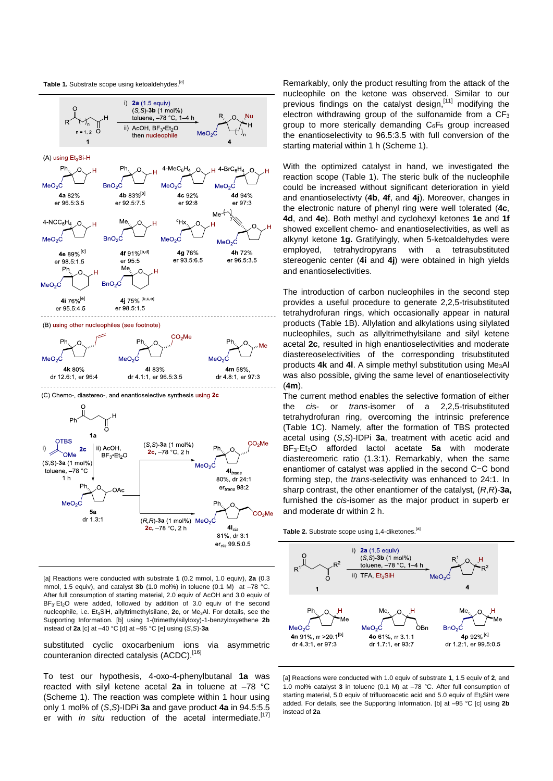



[a] Reactions were conducted with substrate **1** (0.2 mmol, 1.0 equiv), **2a** (0.3 mmol, 1.5 equiv), and catalyst **3b** (1.0 mol%) in toluene (0.1 M) at –78 °C. After full consumption of starting material, 2.0 equiv of AcOH and 3.0 equiv of BF<sub>3</sub>·Et<sub>2</sub>O were added, followed by addition of 3.0 equiv of the second nucleophile, i.e. Et3SiH, allyltrimethylsilane, **2c**, or Me3Al. For details, see the Supporting Information. [b] using 1-(trimethylsilyloxy)-1-benzyloxyethene **2b** instead of **2a** [c] at –40 °C [d] at –95 °C [e] using (*S*,*S*)-**3a**

2c, -78 °C, 2 h

 $4I_{cis}$ 

81%, dr 3:1  $er_{cis} 99.5:0.5$ 

substituted cyclic oxocarbenium ions via asymmetric counteranion directed catalysis (ACDC).<sup>[16]</sup>

To test our hypothesis, 4-oxo-4-phenylbutanal **1a** was reacted with silyl ketene acetal **2a** in toluene at –78 °C (Scheme 1). The reaction was complete within 1 hour using only 1 mol% of (*S*,*S*)-IDPi **3a** and gave product **4a** in 94.5:5.5 er with *in situ* reduction of the acetal intermediate.<sup>[17]</sup>

Remarkably, only the product resulting from the attack of the nucleophile on the ketone was observed. Similar to our previous findings on the catalyst design, [11] modifying the electron withdrawing group of the sulfonamide from a  $CF<sub>3</sub>$ group to more sterically demanding  $C_6F_5$  group increased the enantioselectivity to 96.5:3.5 with full conversion of the starting material within 1 h (Scheme 1).

With the optimized catalyst in hand, we investigated the reaction scope (Table 1). The steric bulk of the nucleophile could be increased without significant deterioration in yield and enantioselectivty (**4b**, **4f**, and **4j**). Moreover, changes in the electronic nature of phenyl ring were well tolerated (**4c**, **4d**, and **4e**). Both methyl and cyclohexyl ketones **1e** and **1f** showed excellent chemo- and enantioselectivities, as well as alkynyl ketone **1g.** Gratifyingly, when 5-ketoaldehydes were employed, tetrahydropyrans with a tetrasubstituted stereogenic center (**4i** and **4j**) were obtained in high yields and enantioselectivities.

The introduction of carbon nucleophiles in the second step provides a useful procedure to generate 2,2,5-trisubstituted tetrahydrofuran rings, which occasionally appear in natural products (Table 1B). Allylation and alkylations using silylated nucleophiles, such as allyltrimethylsilane and silyl ketene acetal **2c**, resulted in high enantioselectivities and moderate diastereoselectivities of the corresponding trisubstituted products **4k** and **4l**. A simple methyl substitution using Me3Al was also possible, giving the same level of enantioselectivity (**4m**).

The current method enables the selective formation of either the *ci*s- or *trans-*isomer of a 2,2,5-trisubstituted tetrahydrofuran ring, overcoming the intrinsic preference (Table 1C). Namely, after the formation of TBS protected acetal using (*S*,*S*)-IDPi **3a**, treatment with acetic acid and BF3·Et2O afforded lactol acetate **5a** with moderate diastereomeric ratio (1.3:1). Remarkably, when the same enantiomer of catalyst was applied in the second C−C bond forming step, the *trans*-selectivity was enhanced to 24:1. In sharp contrast, the other enantiomer of the catalyst, (*R*,*R*)-**3a,** furnished the *cis-*isomer as the major product in superb er and moderate dr within 2 h.

Table 2. Substrate scope using 1,4-diketones.<sup>[a]</sup>



[a] Reactions were conducted with 1.0 equiv of substrate **1**, 1.5 equiv of **2**, and 1.0 mol% catalyst **3** in toluene (0.1 M) at –78 °C. After full consumption of starting material, 5.0 equiv of trifluoroacetic acid and 5.0 equiv of  $Et_3SH$  were added. For details, see the Supporting Information. [b] at –95 °C [c] using **2b** instead of **2a**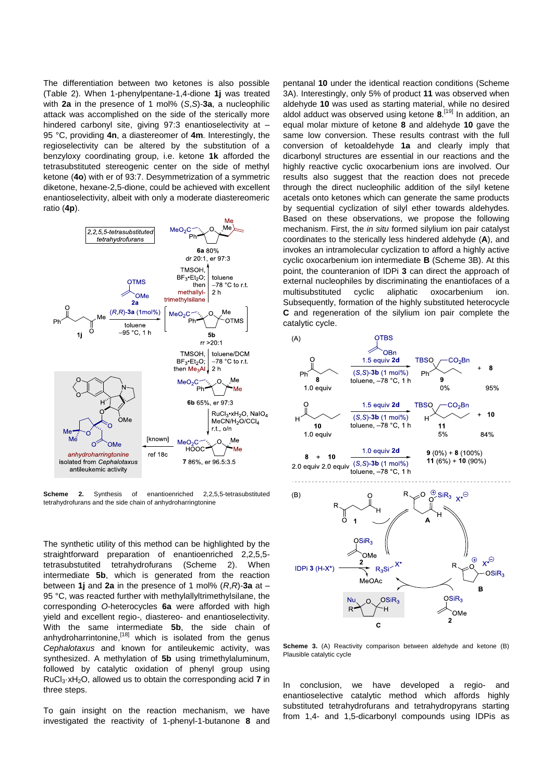The differentiation between two ketones is also possible (Table 2). When 1-phenylpentane-1,4-dione **1j** was treated with **2a** in the presence of 1 mol% (*S*,*S*)-**3a**, a nucleophilic attack was accomplished on the side of the sterically more hindered carbonyl site, giving 97:3 enantioselectivity at -95 °C, providing **4n**, a diastereomer of **4m**. Interestingly, the regioselectivity can be altered by the substitution of a benzyloxy coordinating group, i.e. ketone **1k** afforded the tetrasubstituted stereogenic center on the side of methyl ketone (**4o**) with er of 93:7. Desymmetrization of a symmetric diketone, hexane-2,5-dione, could be achieved with excellent enantioselectivity, albeit with only a moderate diastereomeric ratio (**4p**).



**Scheme 2.** Synthesis of enantioenriched 2,2,5,5-tetrasubstituted tetrahydrofurans and the side chain of anhydroharringtonine

The synthetic utility of this method can be highlighted by the straightforward preparation of enantioenriched 2,2,5,5 tetrasubstutited tetrahydrofurans (Scheme 2). When intermediate **5b**, which is generated from the reaction between **1j** and **2a** in the presence of 1 mol% (*R*,*R*)-**3a** at – 95 °C, was reacted further with methylallyltrimethylsilane, the corresponding *O*-heterocycles **6a** were afforded with high yield and excellent regio-, diastereo- and enantioselectivity. With the same intermediate **5b**, the side chain of anhydroharrintonine,<sup>[18]</sup> which is isolated from the genus *Cephalotaxus* and known for antileukemic activity, was synthesized. A methylation of **5b** using trimethylaluminum, followed by catalytic oxidation of phenyl group using RuCl3·xH2O, allowed us to obtain the corresponding acid **7** in three steps.

To gain insight on the reaction mechanism, we have investigated the reactivity of 1-phenyl-1-butanone **8** and

pentanal **10** under the identical reaction conditions (Scheme 3A). Interestingly, only 5% of product **11** was observed when aldehyde **10** was used as starting material, while no desired aldol adduct was observed using ketone **8**. [19] In addition, an equal molar mixture of ketone **8** and aldehyde **10** gave the same low conversion. These results contrast with the full conversion of ketoaldehyde **1a** and clearly imply that dicarbonyl structures are essential in our reactions and the highly reactive cyclic oxocarbenium ions are involved. Our results also suggest that the reaction does not precede through the direct nucleophilic addition of the silyl ketene acetals onto ketones which can generate the same products by sequential cyclization of silyl ether towards aldehydes. Based on these observations, we propose the following mechanism. First, the *in situ* formed silylium ion pair catalyst coordinates to the sterically less hindered aldehyde (**A**), and invokes an intramolecular cyclization to afford a highly active cyclic oxocarbenium ion intermediate **B** (Scheme 3B). At this point, the counteranion of IDPi **3** can direct the approach of external nucleophiles by discriminating the enantiofaces of a multisubstituted cyclic aliphatic oxocarbenium ion. Subsequently, formation of the highly substituted heterocycle **C** and regeneration of the silylium ion pair complete the catalytic cycle.



**Scheme 3.** (A) Reactivity comparison between aldehyde and ketone (B) Plausible catalytic cycle

In conclusion, we have developed a regio- and enantioselective catalytic method which affords highly substituted tetrahydrofurans and tetrahydropyrans starting from 1,4- and 1,5-dicarbonyl compounds using IDPis as